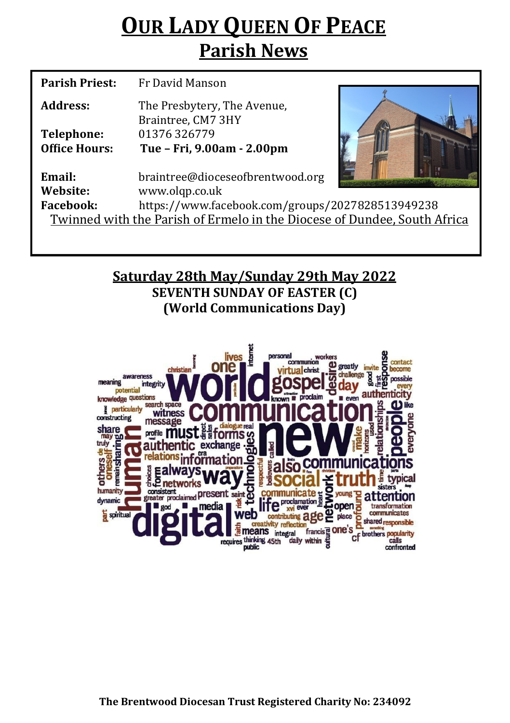# **OUR LADY QUEEN OF PEACE Parish News**

| <b>Parish Priest:</b>                                                    | Fr David Manson                                   |  |  |
|--------------------------------------------------------------------------|---------------------------------------------------|--|--|
| Address:                                                                 | The Presbytery, The Avenue,<br>Braintree, CM7 3HY |  |  |
| <b>Telephone:</b>                                                        | 01376326779                                       |  |  |
| <b>Office Hours:</b>                                                     | Tue - Fri, 9.00am - 2.00pm                        |  |  |
| Email:                                                                   | braintree@dioceseofbrentwood.org                  |  |  |
| Website:                                                                 | www.olqp.co.uk                                    |  |  |
| <b>Facebook:</b>                                                         | https://www.facebook.com/groups/2027828513949238  |  |  |
| Twinned with the Parish of Ermelo in the Diocese of Dundee, South Africa |                                                   |  |  |
|                                                                          |                                                   |  |  |

## **Saturday 28th May/Sunday 29th May 2022 SEVENTH SUNDAY OF EASTER (C) (World Communications Day)**

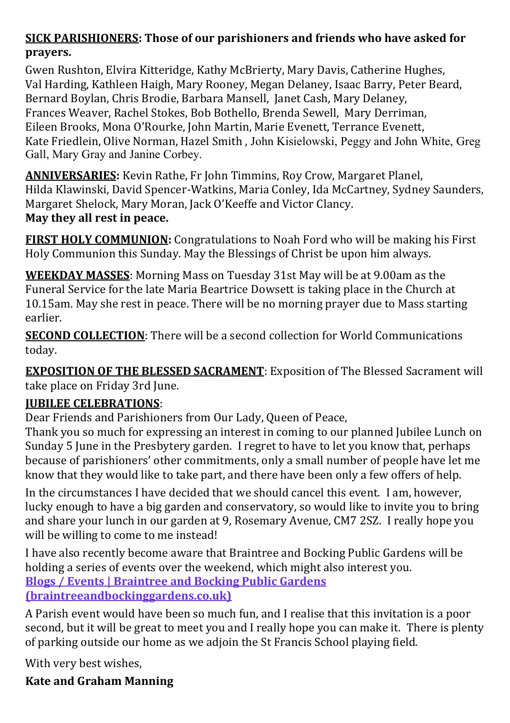### **SICK PARISHIONERS: Those of our parishioners and friends who have asked for prayers.**

Gwen Rushton, Elvira Kitteridge, Kathy McBrierty, Mary Davis, Catherine Hughes, Val Harding, Kathleen Haigh, Mary Rooney, Megan Delaney, Isaac Barry, Peter Beard, Bernard Boylan, Chris Brodie, Barbara Mansell, Janet Cash, Mary Delaney, Frances Weaver, Rachel Stokes, Bob Bothello, Brenda Sewell, Mary Derriman, Eileen Brooks, Mona O'Rourke, John Martin, Marie Evenett, Terrance Evenett, Kate Friedlein, Olive Norman, Hazel Smith , John Kisielowski, Peggy and John White, Greg Gall, Mary Gray and Janine Corbey.

**ANNIVERSARIES:** Kevin Rathe, Fr John Timmins, Roy Crow, Margaret Planel, Hilda Klawinski, David Spencer-Watkins, Maria Conley, Ida McCartney, Sydney Saunders, Margaret Shelock, Mary Moran, Jack O'Keeffe and Victor Clancy. **May they all rest in peace.** 

**FIRST HOLY COMMUNION:** Congratulations to Noah Ford who will be making his First Holy Communion this Sunday. May the Blessings of Christ be upon him always.

**WEEKDAY MASSES**: Morning Mass on Tuesday 31st May will be at 9.00am as the Funeral Service for the late Maria Beartrice Dowsett is taking place in the Church at 10.15am. May she rest in peace. There will be no morning prayer due to Mass starting earlier.

**SECOND COLLECTION**: There will be a second collection for World Communications today.

**EXPOSITION OF THE BLESSED SACRAMENT**: Exposition of The Blessed Sacrament will take place on Friday 3rd June.

#### **JUBILEE CELEBRATIONS**:

Dear Friends and Parishioners from Our Lady, Queen of Peace,

Thank you so much for expressing an interest in coming to our planned Jubilee Lunch on Sunday 5 June in the Presbytery garden. I regret to have to let you know that, perhaps because of parishioners' other commitments, only a small number of people have let me know that they would like to take part, and there have been only a few offers of help.

In the circumstances I have decided that we should cancel this event. I am, however, lucky enough to have a big garden and conservatory, so would like to invite you to bring and share your lunch in our garden at 9, Rosemary Avenue, CM7 2SZ. I really hope you will be willing to come to me instead!

I have also recently become aware that Braintree and Bocking Public Gardens will be holding a series of events over the weekend, which might also interest you. **[Blogs / Events | Braintree and Bocking Public Gardens](https://braintreeandbockinggardens.co.uk/blogs-events/)  [\(braintreeandbockinggardens.co.uk\)](https://braintreeandbockinggardens.co.uk/blogs-events/)**

A Parish event would have been so much fun, and I realise that this invitation is a poor second, but it will be great to meet you and I really hope you can make it. There is plenty of parking outside our home as we adjoin the St Francis School playing field.

With very best wishes,

**Kate and Graham Manning**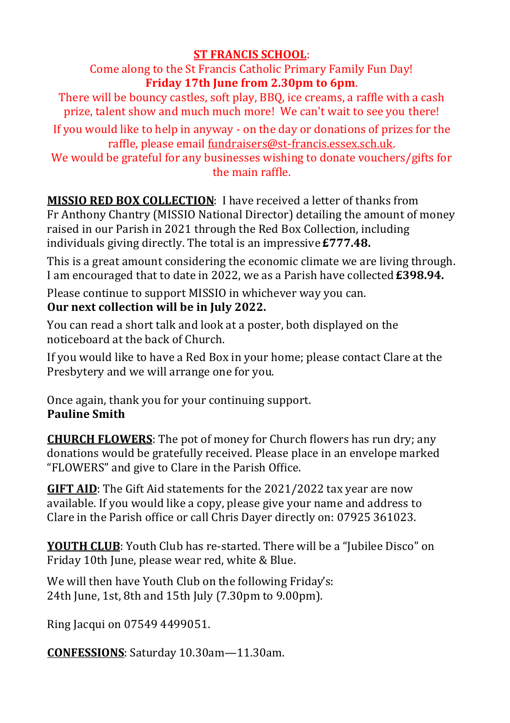#### **ST FRANCIS SCHOOL**:

Come along to the St Francis Catholic Primary Family Fun Day! **Friday 17th June from 2.30pm to 6pm**.

There will be bouncy castles, soft play, BBQ, ice creams, a raffle with a cash prize, talent show and much much more! We can't wait to see you there!

If you would like to help in anyway - on the day or donations of prizes for the raffle, please email fundraisers@st-[francis.essex.sch.uk.](mailto:fundraisers@st-francis.essex.sch.uk) 

We would be grateful for any businesses wishing to donate vouchers/gifts for the main raffle.

**MISSIO RED BOX COLLECTION**: I have received a letter of thanks from Fr Anthony Chantry (MISSIO National Director) detailing the amount of money raised in our Parish in 2021 through the Red Box Collection, including individuals giving directly. The total is an impressive **£777.48.**

This is a great amount considering the economic climate we are living through. I am encouraged that to date in 2022, we as a Parish have collected **£398.94.**

Please continue to support MISSIO in whichever way you can.

#### **Our next collection will be in July 2022.**

You can read a short talk and look at a poster, both displayed on the noticeboard at the back of Church.

If you would like to have a Red Box in your home; please contact Clare at the Presbytery and we will arrange one for you.

Once again, thank you for your continuing support. **Pauline Smith**

**CHURCH FLOWERS**: The pot of money for Church flowers has run dry; any donations would be gratefully received. Please place in an envelope marked "FLOWERS" and give to Clare in the Parish Office.

**GIFT AID**: The Gift Aid statements for the 2021/2022 tax year are now available. If you would like a copy, please give your name and address to Clare in the Parish office or call Chris Dayer directly on: 07925 361023.

**YOUTH CLUB**: Youth Club has re-started. There will be a "Jubilee Disco" on Friday 10th June, please wear red, white & Blue.

We will then have Youth Club on the following Friday's: 24th June, 1st, 8th and 15th July (7.30pm to 9.00pm).

Ring Jacqui on 07549 4499051.

**CONFESSIONS**: Saturday 10.30am—11.30am.